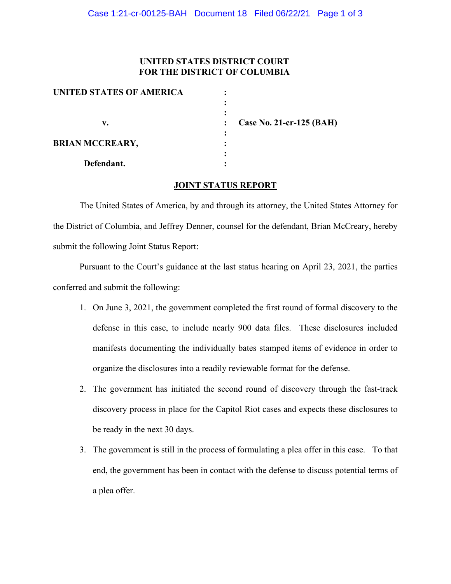## **UNITED STATES DISTRICT COURT FOR THE DISTRICT OF COLUMBIA**

| UNITED STATES OF AMERICA |                          |
|--------------------------|--------------------------|
|                          |                          |
|                          |                          |
| v.                       | Case No. 21-cr-125 (BAH) |
|                          |                          |
| <b>BRIAN MCCREARY,</b>   |                          |
|                          |                          |
| Defendant.               |                          |

## **JOINT STATUS REPORT**

The United States of America, by and through its attorney, the United States Attorney for the District of Columbia, and Jeffrey Denner, counsel for the defendant, Brian McCreary, hereby submit the following Joint Status Report:

Pursuant to the Court's guidance at the last status hearing on April 23, 2021, the parties conferred and submit the following:

- 1. On June 3, 2021, the government completed the first round of formal discovery to the defense in this case, to include nearly 900 data files. These disclosures included manifests documenting the individually bates stamped items of evidence in order to organize the disclosures into a readily reviewable format for the defense.
- 2. The government has initiated the second round of discovery through the fast-track discovery process in place for the Capitol Riot cases and expects these disclosures to be ready in the next 30 days.
- 3. The government is still in the process of formulating a plea offer in this case. To that end, the government has been in contact with the defense to discuss potential terms of a plea offer.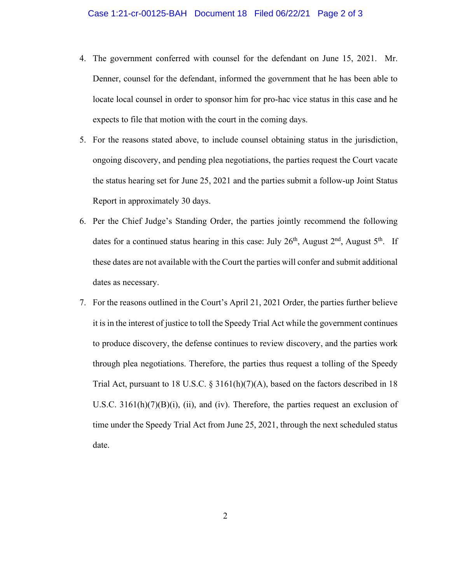- 4. The government conferred with counsel for the defendant on June 15, 2021. Mr. Denner, counsel for the defendant, informed the government that he has been able to locate local counsel in order to sponsor him for pro-hac vice status in this case and he expects to file that motion with the court in the coming days.
- 5. For the reasons stated above, to include counsel obtaining status in the jurisdiction, ongoing discovery, and pending plea negotiations, the parties request the Court vacate the status hearing set for June 25, 2021 and the parties submit a follow-up Joint Status Report in approximately 30 days.
- 6. Per the Chief Judge's Standing Order, the parties jointly recommend the following dates for a continued status hearing in this case: July  $26<sup>th</sup>$ , August  $2<sup>nd</sup>$ , August  $5<sup>th</sup>$ . If these dates are not available with the Court the parties will confer and submit additional dates as necessary.
- 7. For the reasons outlined in the Court's April 21, 2021 Order, the parties further believe it is in the interest of justice to toll the Speedy Trial Act while the government continues to produce discovery, the defense continues to review discovery, and the parties work through plea negotiations. Therefore, the parties thus request a tolling of the Speedy Trial Act, pursuant to 18 U.S.C. § 3161(h)(7)(A), based on the factors described in 18 U.S.C. 3161(h)(7)(B)(i), (ii), and (iv). Therefore, the parties request an exclusion of time under the Speedy Trial Act from June 25, 2021, through the next scheduled status date.